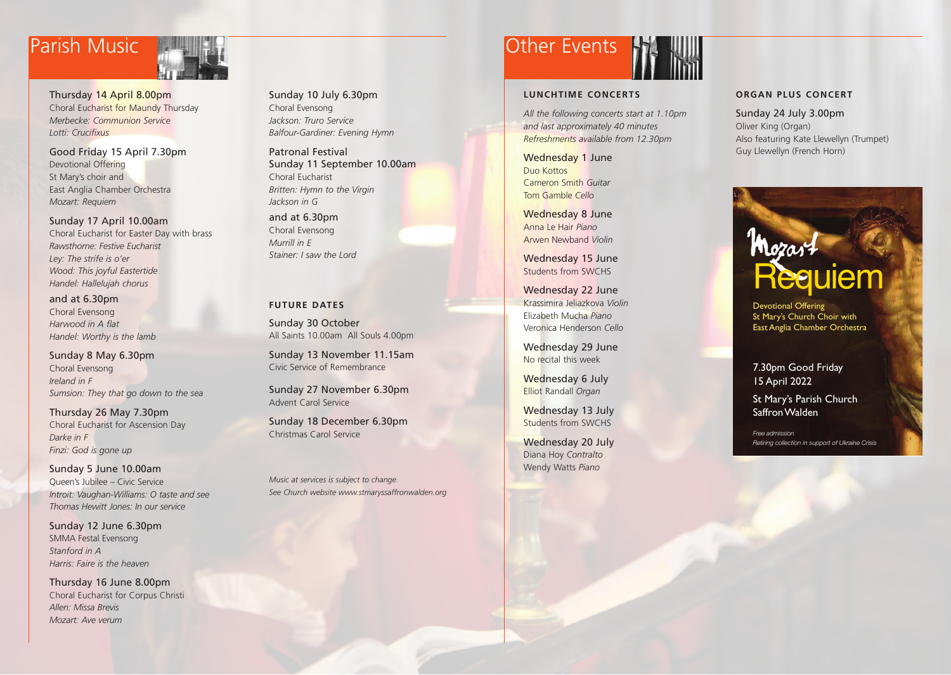Thursday 14 April 8.00pm Choral Eucharist for Maundy Thursday *Merbecke: Communion Service Lotti: Crucifixus*

Good Friday 15 April 7.30pm Devotional Offering St Mary's choir and East Anglia Chamber Orchestra *Mozart: Requiem*

Sunday 17 April 10.00am Choral Eucharist for Easter Day with brass *Rawsthorne: Festive Eucharist Ley: The strife is o'er Wood: This joyful Eastertide Handel: Hallelujah chorus* 

and at 6.30pm Choral Evensong *Harwood in A flat Handel: Worthy is the lamb*

Sunday 8 May 6.30pm Choral Evensong *Ireland in F Sumsion: They that go down to the sea* 

Thursday 26 May 7.30pm Choral Eucharist for Ascension Day *Darke in F Finzi: God is gone up*

Sunday 5 June 10.00am Queen's Jubilee – Civic Service *Introit: Vaughan-Williams: O taste and see Thomas Hewitt Jones: In our service*

Sunday 12 June 6.30pm SMMA Festal Evensong *Stanford in A Harris: Faire is the heaven*

Thursday 16 June 8.00pm Choral Eucharist for Corpus Christi *Allen: Missa Brevis Mozart: Ave verum* 

Sunday 10 July 6.30pm Choral Evensong *Jackson: Truro Service Balfour-Gardiner: Evening Hymn* 

Patronal Festival Sunday 11 September 10.00am Choral Eucharist *Britten: Hymn to the Virgin Jackson in G* 

and at 6.30pm Choral Evensong *Murrill in E Stainer: I saw the Lord*

#### **FUTURE DATES**

Sunday 30 October All Saints 10.00am All Souls 4.00pm

Sunday 13 November 11.15am Civic Service of Remembrance

Sunday 27 November 6.30pm Advent Carol Service

Sunday 18 December 6.30pm Christmas Carol Service

*Music at services is subject to change. See Church website www.stmaryssaffronwalden.org*

## Parish Music **Communist Parish Music Communist Parish Music Communist Parish Parish Parish Parish Parish Parish**

### **LUNCHTIME CONCERTS**

*All the following concerts start at 1.10pm and last approximately 40 minutes Refreshments available from 12.30pm*

Wednesday 1 June Duo Kottos Cameron Smith *Guitar* Tom Gamble *Cello*

Wednesday 8 June Anna Le Hair *Piano* Arwen Newband *Violin*

Wednesday 15 June Students from SWCHS

Wednesday 22 June Krassimira Jeliazkova *Violin* Elizabeth Mucha *Piano* Veronica Henderson *Cello*

Wednesday 29 June No recital this week

Wednesday 6 July Elliot Randall *Organ*

Wednesday 13 July Students from SWCHS

Wednesday 20 July Diana Hoy *Contralto* Wendy Watts *Piano*

#### **ORGAN PLUS CONCERT**

Sunday 24 July 3.00pm Oliver King (Organ) Also featuring Kate Llewellyn (Trumpet) Guy Llewellyn (French Horn)

# **Mozart**

Devotional Offering St Mary's Church Choir with East Anglia Chamber Orchestra

7.30pm Good Friday 15 April 2022

St Mary's Parish Church Saffron Walden

*Free admission Retiring collection in support of Ukraine Crisis*